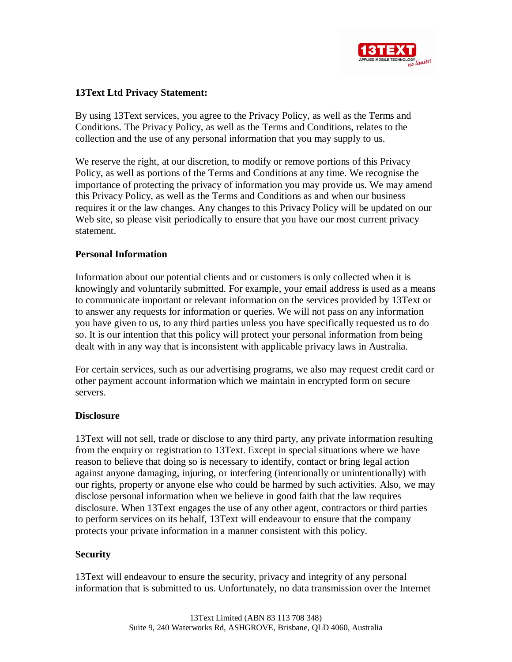

# **13Text Ltd Privacy Statement:**

By using 13Text services, you agree to the Privacy Policy, as well as the Terms and Conditions. The Privacy Policy, as well as the Terms and Conditions, relates to the collection and the use of any personal information that you may supply to us.

We reserve the right, at our discretion, to modify or remove portions of this Privacy Policy, as well as portions of the Terms and Conditions at any time. We recognise the importance of protecting the privacy of information you may provide us. We may amend this Privacy Policy, as well as the Terms and Conditions as and when our business requires it or the law changes. Any changes to this Privacy Policy will be updated on our Web site, so please visit periodically to ensure that you have our most current privacy statement.

## **Personal Information**

Information about our potential clients and or customers is only collected when it is knowingly and voluntarily submitted. For example, your email address is used as a means to communicate important or relevant information on the services provided by 13Text or to answer any requests for information or queries. We will not pass on any information you have given to us, to any third parties unless you have specifically requested us to do so. It is our intention that this policy will protect your personal information from being dealt with in any way that is inconsistent with applicable privacy laws in Australia.

For certain services, such as our advertising programs, we also may request credit card or other payment account information which we maintain in encrypted form on secure servers.

#### **Disclosure**

13Text will not sell, trade or disclose to any third party, any private information resulting from the enquiry or registration to 13Text. Except in special situations where we have reason to believe that doing so is necessary to identify, contact or bring legal action against anyone damaging, injuring, or interfering (intentionally or unintentionally) with our rights, property or anyone else who could be harmed by such activities. Also, we may disclose personal information when we believe in good faith that the law requires disclosure. When 13Text engages the use of any other agent, contractors or third parties to perform services on its behalf, 13Text will endeavour to ensure that the company protects your private information in a manner consistent with this policy.

# **Security**

13Text will endeavour to ensure the security, privacy and integrity of any personal information that is submitted to us. Unfortunately, no data transmission over the Internet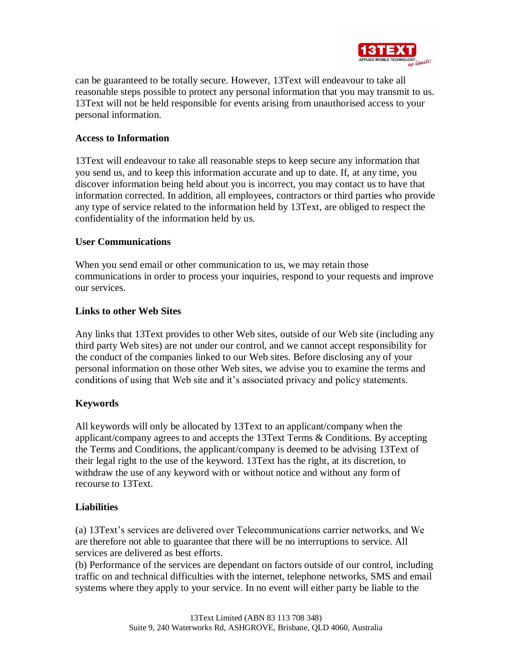

can be guaranteed to be totally secure. However, 13Text will endeavour to take all reasonable steps possible to protect any personal information that you may transmit to us. 13Text will not be held responsible for events arising from unauthorised access to your personal information.

## **Access to Information**

13Text will endeavour to take all reasonable steps to keep secure any information that you send us, and to keep this information accurate and up to date. If, at any time, you discover information being held about you is incorrect, you may contact us to have that information corrected. In addition, all employees, contractors or third parties who provide any type of service related to the information held by 13Text, are obliged to respect the confidentiality of the information held by us.

## **User Communications**

When you send email or other communication to us, we may retain those communications in order to process your inquiries, respond to your requests and improve our services.

#### **Links to other Web Sites**

Any links that 13Text provides to other Web sites, outside of our Web site (including any third party Web sites) are not under our control, and we cannot accept responsibility for the conduct of the companies linked to our Web sites. Before disclosing any of your personal information on those other Web sites, we advise you to examine the terms and conditions of using that Web site and it's associated privacy and policy statements.

# **Keywords**

All keywords will only be allocated by 13Text to an applicant/company when the applicant/company agrees to and accepts the 13Text Terms & Conditions. By accepting the Terms and Conditions, the applicant/company is deemed to be advising 13Text of their legal right to the use of the keyword. 13Text has the right, at its discretion, to withdraw the use of any keyword with or without notice and without any form of recourse to 13Text.

#### **Liabilities**

(a) 13Text's services are delivered over Telecommunications carrier networks, and We are therefore not able to guarantee that there will be no interruptions to service. All services are delivered as best efforts.

(b) Performance of the services are dependant on factors outside of our control, including traffic on and technical difficulties with the internet, telephone networks, SMS and email systems where they apply to your service. In no event will either party be liable to the